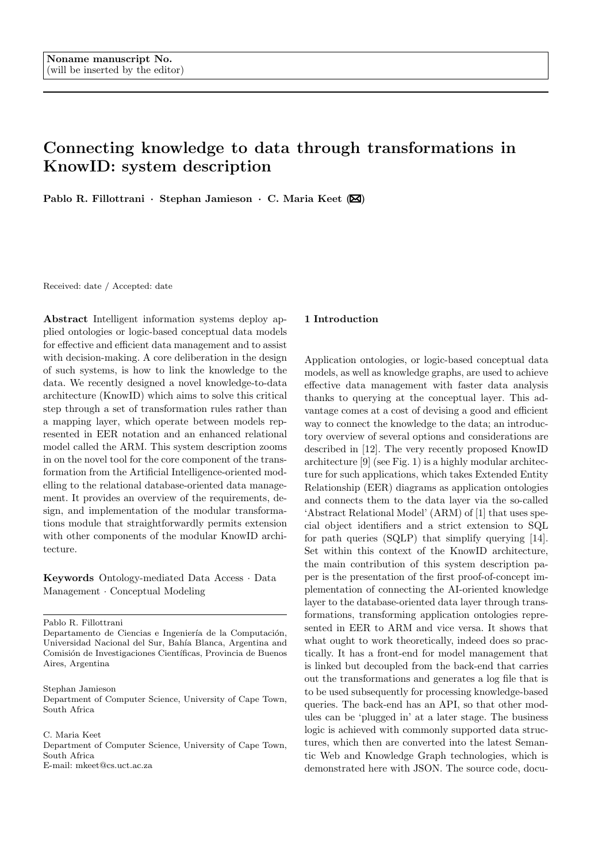# Connecting knowledge to data through transformations in KnowID: system description

Pablo R. Fillottrani · Stephan Jamieson · C. Maria Keet  $(\boxtimes)$ 

Received: date / Accepted: date

Abstract Intelligent information systems deploy applied ontologies or logic-based conceptual data models for effective and efficient data management and to assist with decision-making. A core deliberation in the design of such systems, is how to link the knowledge to the data. We recently designed a novel knowledge-to-data architecture (KnowID) which aims to solve this critical step through a set of transformation rules rather than a mapping layer, which operate between models represented in EER notation and an enhanced relational model called the ARM. This system description zooms in on the novel tool for the core component of the transformation from the Artificial Intelligence-oriented modelling to the relational database-oriented data management. It provides an overview of the requirements, design, and implementation of the modular transformations module that straightforwardly permits extension with other components of the modular KnowID architecture.

Keywords Ontology-mediated Data Access · Data Management · Conceptual Modeling

Pablo R. Fillottrani

Departamento de Ciencias e Ingeniería de la Computación, Universidad Nacional del Sur, Bahía Blanca, Argentina and Comisión de Investigaciones Científicas, Provincia de Buenos Aires, Argentina

Stephan Jamieson

Department of Computer Science, University of Cape Town, South Africa

C. Maria Keet Department of Computer Science, University of Cape Town,

South Africa

E-mail: mkeet@cs.uct.ac.za

# 1 Introduction

Application ontologies, or logic-based conceptual data models, as well as knowledge graphs, are used to achieve effective data management with faster data analysis thanks to querying at the conceptual layer. This advantage comes at a cost of devising a good and efficient way to connect the knowledge to the data; an introductory overview of several options and considerations are described in [12]. The very recently proposed KnowID architecture [9] (see Fig. 1) is a highly modular architecture for such applications, which takes Extended Entity Relationship (EER) diagrams as application ontologies and connects them to the data layer via the so-called 'Abstract Relational Model' (ARM) of [1] that uses special object identifiers and a strict extension to SQL for path queries (SQLP) that simplify querying [14]. Set within this context of the KnowID architecture, the main contribution of this system description paper is the presentation of the first proof-of-concept implementation of connecting the AI-oriented knowledge layer to the database-oriented data layer through transformations, transforming application ontologies represented in EER to ARM and vice versa. It shows that what ought to work theoretically, indeed does so practically. It has a front-end for model management that is linked but decoupled from the back-end that carries out the transformations and generates a log file that is to be used subsequently for processing knowledge-based queries. The back-end has an API, so that other modules can be 'plugged in' at a later stage. The business logic is achieved with commonly supported data structures, which then are converted into the latest Semantic Web and Knowledge Graph technologies, which is demonstrated here with JSON. The source code, docu-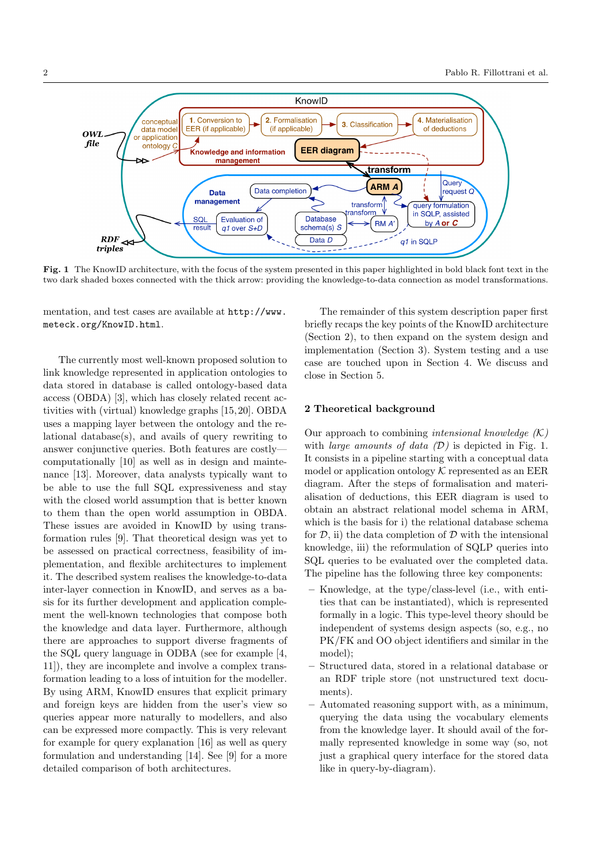Fig. 1 The KnowID architecture, with the focus of the system presented in this paper highlighted in bold black font text in the two dark shaded boxes connected with the thick arrow: providing the knowledge-to-data connection as model transformations.

mentation, and test cases are available at http://www. meteck.org/KnowID.html.

The currently most well-known proposed solution to link knowledge represented in application ontologies to data stored in database is called ontology-based data access (OBDA) [3], which has closely related recent activities with (virtual) knowledge graphs [15, 20]. OBDA uses a mapping layer between the ontology and the relational database(s), and avails of query rewriting to answer conjunctive queries. Both features are costly computationally [10] as well as in design and maintenance [13]. Moreover, data analysts typically want to be able to use the full SQL expressiveness and stay with the closed world assumption that is better known to them than the open world assumption in OBDA. These issues are avoided in KnowID by using transformation rules [9]. That theoretical design was yet to be assessed on practical correctness, feasibility of implementation, and flexible architectures to implement it. The described system realises the knowledge-to-data inter-layer connection in KnowID, and serves as a basis for its further development and application complement the well-known technologies that compose both the knowledge and data layer. Furthermore, although there are approaches to support diverse fragments of the SQL query language in ODBA (see for example [4, 11]), they are incomplete and involve a complex transformation leading to a loss of intuition for the modeller. By using ARM, KnowID ensures that explicit primary and foreign keys are hidden from the user's view so queries appear more naturally to modellers, and also can be expressed more compactly. This is very relevant for example for query explanation [16] as well as query formulation and understanding [14]. See [9] for a more detailed comparison of both architectures.

The remainder of this system description paper first briefly recaps the key points of the KnowID architecture (Section 2), to then expand on the system design and implementation (Section 3). System testing and a use case are touched upon in Section 4. We discuss and close in Section 5.

### 2 Theoretical background

Our approach to combining *intensional knowledge*  $(K)$ with *large amounts of data*  $(D)$  is depicted in Fig. 1. It consists in a pipeline starting with a conceptual data model or application ontology  $K$  represented as an EER diagram. After the steps of formalisation and materialisation of deductions, this EER diagram is used to obtain an abstract relational model schema in ARM, which is the basis for i) the relational database schema for  $D$ , ii) the data completion of  $D$  with the intensional knowledge, iii) the reformulation of SQLP queries into SQL queries to be evaluated over the completed data. The pipeline has the following three key components:

- Knowledge, at the type/class-level (i.e., with entities that can be instantiated), which is represented formally in a logic. This type-level theory should be independent of systems design aspects (so, e.g., no PK/FK and OO object identifiers and similar in the model);
- Structured data, stored in a relational database or an RDF triple store (not unstructured text documents).
- Automated reasoning support with, as a minimum, querying the data using the vocabulary elements from the knowledge layer. It should avail of the formally represented knowledge in some way (so, not just a graphical query interface for the stored data like in query-by-diagram).

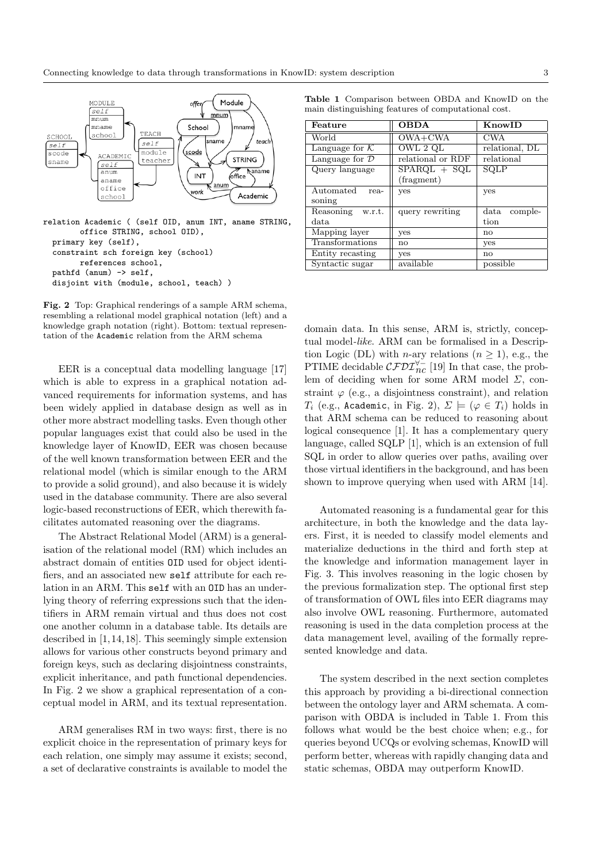

relation Academic ( (self OID, anum INT, aname STRING, office STRING, school OID), primary key (self), constraint sch foreign key (school) references school, pathfd (anum) -> self, disjoint with (module, school, teach) )

Fig. 2 Top: Graphical renderings of a sample ARM schema, resembling a relational model graphical notation (left) and a knowledge graph notation (right). Bottom: textual representation of the Academic relation from the ARM schema

EER is a conceptual data modelling language [17] which is able to express in a graphical notation advanced requirements for information systems, and has been widely applied in database design as well as in other more abstract modelling tasks. Even though other popular languages exist that could also be used in the knowledge layer of KnowID, EER was chosen because of the well known transformation between EER and the relational model (which is similar enough to the ARM to provide a solid ground), and also because it is widely used in the database community. There are also several logic-based reconstructions of EER, which therewith facilitates automated reasoning over the diagrams.

The Abstract Relational Model (ARM) is a generalisation of the relational model (RM) which includes an abstract domain of entities OID used for object identifiers, and an associated new self attribute for each relation in an ARM. This self with an OID has an underlying theory of referring expressions such that the identifiers in ARM remain virtual and thus does not cost one another column in a database table. Its details are described in [1, 14, 18]. This seemingly simple extension allows for various other constructs beyond primary and foreign keys, such as declaring disjointness constraints, explicit inheritance, and path functional dependencies. In Fig. 2 we show a graphical representation of a conceptual model in ARM, and its textual representation.

ARM generalises RM in two ways: first, there is no explicit choice in the representation of primary keys for each relation, one simply may assume it exists; second, a set of declarative constraints is available to model the

Table 1 Comparison between OBDA and KnowID on the main distinguishing features of computational cost.

| Feature                      | <b>OBDA</b><br>KnowID                                 |                                  |  |
|------------------------------|-------------------------------------------------------|----------------------------------|--|
| World                        | $\overline{\text{OWA}+\text{CWA}}$                    | <b>CWA</b>                       |  |
| Language for $K$             | OWL 2 QL                                              | relational, DL                   |  |
| Language for $\mathcal D$    | relational or RDF                                     | relational                       |  |
| Query language               | $\overline{\text{SPARGL}} + \text{SQL}$<br>(fragment) | SQLP                             |  |
| Automated<br>rea-<br>soning  | yes                                                   | yes                              |  |
| Reasoning<br>w.r.t.<br>data. | query rewriting                                       | $_{\rm data}$<br>comple-<br>tion |  |
| Mapping layer                | yes                                                   | no                               |  |
| Transformations              | no                                                    | yes                              |  |
| Entity recasting             | <b>ves</b>                                            | no                               |  |
| Syntactic sugar              | available                                             | possible                         |  |

domain data. In this sense, ARM is, strictly, conceptual model-like. ARM can be formalised in a Description Logic (DL) with *n*-ary relations  $(n \geq 1)$ , e.g., the PTIME decidable  $\mathcal{CFDI}^{\forall-}_{nc}$  [19] In that case, the problem of deciding when for some ARM model  $\Sigma$ , constraint  $\varphi$  (e.g., a disjointness constraint), and relation T<sub>i</sub> (e.g., Academic, in Fig. 2),  $\Sigma \models (\varphi \in T_i)$  holds in that ARM schema can be reduced to reasoning about logical consequence [1]. It has a complementary query language, called SQLP [1], which is an extension of full SQL in order to allow queries over paths, availing over those virtual identifiers in the background, and has been shown to improve querying when used with ARM [14].

Automated reasoning is a fundamental gear for this architecture, in both the knowledge and the data layers. First, it is needed to classify model elements and materialize deductions in the third and forth step at the knowledge and information management layer in Fig. 3. This involves reasoning in the logic chosen by the previous formalization step. The optional first step of transformation of OWL files into EER diagrams may also involve OWL reasoning. Furthermore, automated reasoning is used in the data completion process at the data management level, availing of the formally represented knowledge and data.

The system described in the next section completes this approach by providing a bi-directional connection between the ontology layer and ARM schemata. A comparison with OBDA is included in Table 1. From this follows what would be the best choice when; e.g., for queries beyond UCQs or evolving schemas, KnowID will perform better, whereas with rapidly changing data and static schemas, OBDA may outperform KnowID.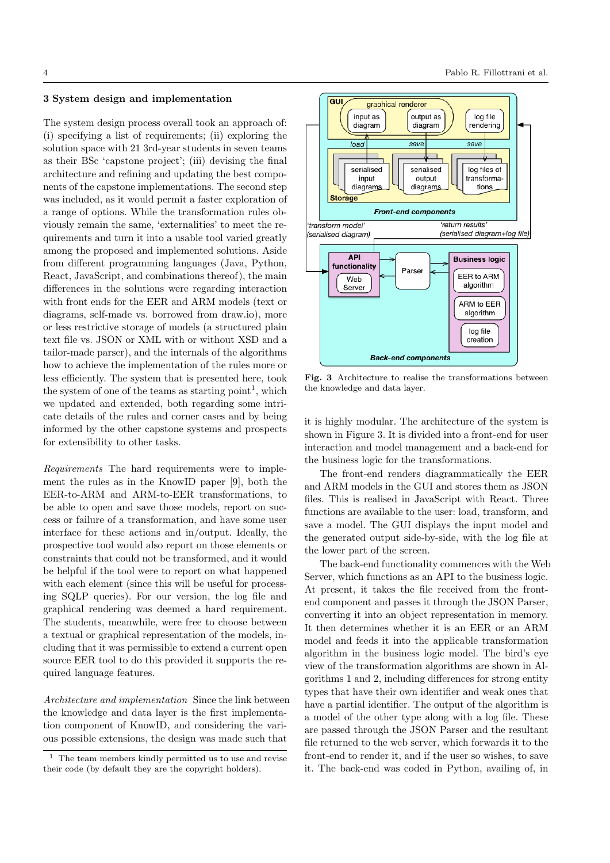# 3 System design and implementation

The system design process overall took an approach of: (i) specifying a list of requirements; (ii) exploring the solution space with 21 3rd-year students in seven teams as their BSc 'capstone project'; (iii) devising the final architecture and refining and updating the best components of the capstone implementations. The second step was included, as it would permit a faster exploration of a range of options. While the transformation rules obviously remain the same, 'externalities' to meet the requirements and turn it into a usable tool varied greatly among the proposed and implemented solutions. Aside from different programming languages (Java, Python, React, JavaScript, and combinations thereof), the main differences in the solutions were regarding interaction with front ends for the EER and ARM models (text or diagrams, self-made vs. borrowed from draw.io), more or less restrictive storage of models (a structured plain text file vs. JSON or XML with or without XSD and a tailor-made parser), and the internals of the algorithms how to achieve the implementation of the rules more or less efficiently. The system that is presented here, took the system of one of the teams as starting  $point<sup>1</sup>$ , which we updated and extended, both regarding some intricate details of the rules and corner cases and by being informed by the other capstone systems and prospects for extensibility to other tasks.

Requirements The hard requirements were to implement the rules as in the KnowID paper [9], both the EER-to-ARM and ARM-to-EER transformations, to be able to open and save those models, report on success or failure of a transformation, and have some user interface for these actions and in/output. Ideally, the prospective tool would also report on those elements or constraints that could not be transformed, and it would be helpful if the tool were to report on what happened with each element (since this will be useful for processing SQLP queries). For our version, the log file and graphical rendering was deemed a hard requirement. The students, meanwhile, were free to choose between a textual or graphical representation of the models, including that it was permissible to extend a current open source EER tool to do this provided it supports the required language features.

Architecture and implementation Since the link between the knowledge and data layer is the first implementation component of KnowID, and considering the various possible extensions, the design was made such that



Fig. 3 Architecture to realise the transformations between the knowledge and data layer.

it is highly modular. The architecture of the system is shown in Figure 3. It is divided into a front-end for user interaction and model management and a back-end for the business logic for the transformations.

The front-end renders diagrammatically the EER and ARM models in the GUI and stores them as JSON files. This is realised in JavaScript with React. Three functions are available to the user: load, transform, and save a model. The GUI displays the input model and the generated output side-by-side, with the log file at the lower part of the screen.

The back-end functionality commences with the Web Server, which functions as an API to the business logic. At present, it takes the file received from the frontend component and passes it through the JSON Parser, converting it into an object representation in memory. It then determines whether it is an EER or an ARM model and feeds it into the applicable transformation algorithm in the business logic model. The bird's eye view of the transformation algorithms are shown in Algorithms 1 and 2, including differences for strong entity types that have their own identifier and weak ones that have a partial identifier. The output of the algorithm is a model of the other type along with a log file. These are passed through the JSON Parser and the resultant file returned to the web server, which forwards it to the front-end to render it, and if the user so wishes, to save it. The back-end was coded in Python, availing of, in

<sup>1</sup> The team members kindly permitted us to use and revise their code (by default they are the copyright holders).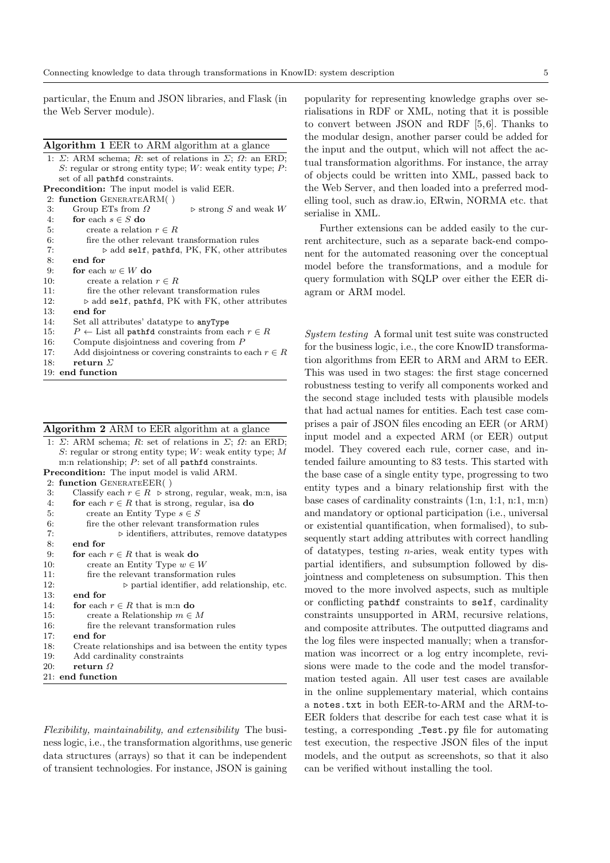particular, the Enum and JSON libraries, and Flask (in the Web Server module).

#### Algorithm 1 EER to ARM algorithm at a glance

| 1: $\Sigma$ : ARM schema; R: set of relations in $\Sigma$ ; $\Omega$ : an ERD; |  |  |  |  |
|--------------------------------------------------------------------------------|--|--|--|--|
| S: regular or strong entity type; W: weak entity type; $P$ :                   |  |  |  |  |
| set of all pathfd constraints.                                                 |  |  |  |  |
| <b>Precondition:</b> The input model is valid EER.                             |  |  |  |  |
| 2: function GENERATEARM()                                                      |  |  |  |  |
| 3:<br>Group ETs from $\Omega$<br>$\triangleright$ strong S and weak W          |  |  |  |  |
| for each $s \in S$ do<br>4:                                                    |  |  |  |  |
| 5:<br>create a relation $r \in R$                                              |  |  |  |  |
| 6:<br>fire the other relevant transformation rules                             |  |  |  |  |
| 7:<br>$\triangleright$ add self, pathfd, PK, FK, other attributes              |  |  |  |  |
| 8:<br>end for                                                                  |  |  |  |  |
| 9:<br>for each $w \in W$ do                                                    |  |  |  |  |
| 10:<br>create a relation $r \in R$                                             |  |  |  |  |
| 11:<br>fire the other relevant transformation rules                            |  |  |  |  |
| 12:<br>$\triangleright$ add self, pathfd, PK with FK, other attributes         |  |  |  |  |
| 13:<br>end for                                                                 |  |  |  |  |
| 14:<br>Set all attributes' datatype to anyType                                 |  |  |  |  |
| 15:<br>$P \leftarrow$ List all pathfd constraints from each $r \in R$          |  |  |  |  |
| 16:<br>Compute disjointness and covering from $P$                              |  |  |  |  |
| 17:<br>Add disjointness or covering constraints to each $r \in R$              |  |  |  |  |
| return $\Sigma$<br>18:                                                         |  |  |  |  |
| 19: end function                                                               |  |  |  |  |

| <b>Algorithm 2</b> ARM to EER algorithm at a glance |  |  |  |
|-----------------------------------------------------|--|--|--|
|-----------------------------------------------------|--|--|--|

| 1: $\Sigma$ : ARM schema; R: set of relations in $\Sigma$ ; $\Omega$ : an ERD; |
|--------------------------------------------------------------------------------|
| S: regular or strong entity type; $W$ : weak entity type; M                    |
| m:n relationship; $P$ : set of all pathfd constraints.                         |
| <b>Precondition:</b> The input model is valid ARM.                             |
| 2: function GENERATEEER()                                                      |
| Classify each $r \in R$ $\triangleright$ strong, regular, weak, m:n, isa<br>3: |
| for each $r \in R$ that is strong, regular, is ado<br>4:                       |
| create an Entity Type $s \in S$<br>5:                                          |
| 6:<br>fire the other relevant transformation rules                             |
| 7:<br>$\triangleright$ identifiers, attributes, remove data types              |
| 8:<br>end for                                                                  |
| 9:<br>for each $r \in R$ that is weak do                                       |
| 10:<br>create an Entity Type $w \in W$                                         |
| fire the relevant transformation rules<br>11:                                  |
| 12:<br>$\triangleright$ partial identifier, add relationship, etc.             |
| end for<br>13:                                                                 |
| 14:<br>for each $r \in R$ that is m:n do                                       |
| 15:<br>create a Relationship $m \in M$                                         |
| 16:<br>fire the relevant transformation rules                                  |
| 17:<br>end for                                                                 |
| 18:<br>Create relationships and is a between the entity types                  |
| 19:<br>Add cardinality constraints                                             |
| 20:<br>return $\Omega$                                                         |
| 21: end function                                                               |

Flexibility, maintainability, and extensibility The business logic, i.e., the transformation algorithms, use generic data structures (arrays) so that it can be independent of transient technologies. For instance, JSON is gaining

popularity for representing knowledge graphs over serialisations in RDF or XML, noting that it is possible to convert between JSON and RDF [5, 6]. Thanks to the modular design, another parser could be added for the input and the output, which will not affect the actual transformation algorithms. For instance, the array of objects could be written into XML, passed back to the Web Server, and then loaded into a preferred modelling tool, such as draw.io, ERwin, NORMA etc. that serialise in XML.

Further extensions can be added easily to the current architecture, such as a separate back-end component for the automated reasoning over the conceptual model before the transformations, and a module for query formulation with SQLP over either the EER diagram or ARM model.

System testing A formal unit test suite was constructed for the business logic, i.e., the core KnowID transformation algorithms from EER to ARM and ARM to EER. This was used in two stages: the first stage concerned robustness testing to verify all components worked and the second stage included tests with plausible models that had actual names for entities. Each test case comprises a pair of JSON files encoding an EER (or ARM) input model and a expected ARM (or EER) output model. They covered each rule, corner case, and intended failure amounting to 83 tests. This started with the base case of a single entity type, progressing to two entity types and a binary relationship first with the base cases of cardinality constraints (1:n, 1:1, n:1, m:n) and mandatory or optional participation (i.e., universal or existential quantification, when formalised), to subsequently start adding attributes with correct handling of datatypes, testing n-aries, weak entity types with partial identifiers, and subsumption followed by disjointness and completeness on subsumption. This then moved to the more involved aspects, such as multiple or conflicting pathdf constraints to self, cardinality constraints unsupported in ARM, recursive relations, and composite attributes. The outputted diagrams and the log files were inspected manually; when a transformation was incorrect or a log entry incomplete, revisions were made to the code and the model transformation tested again. All user test cases are available in the online supplementary material, which contains a notes.txt in both EER-to-ARM and the ARM-to-EER folders that describe for each test case what it is testing, a corresponding **Test**.py file for automating test execution, the respective JSON files of the input models, and the output as screenshots, so that it also can be verified without installing the tool.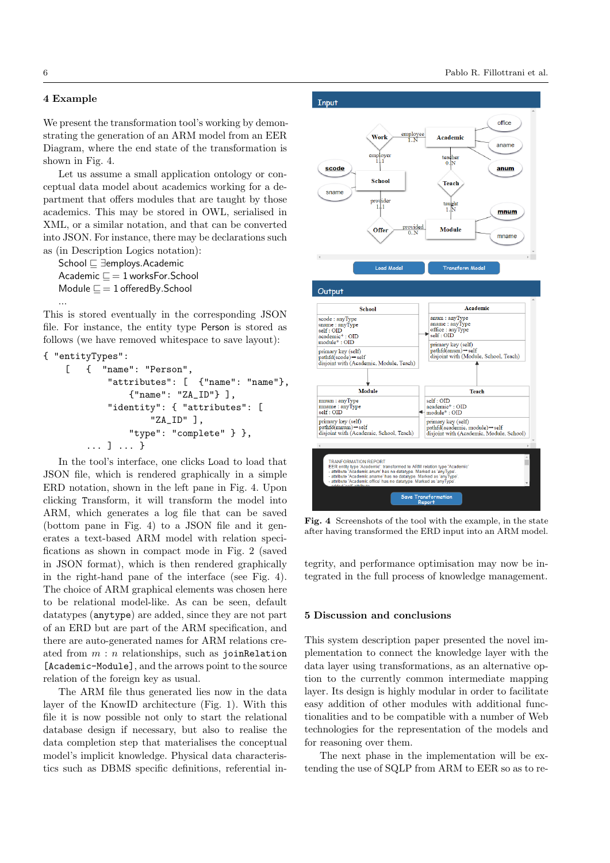# 4 Example

...

We present the transformation tool's working by demonstrating the generation of an ARM model from an EER Diagram, where the end state of the transformation is shown in Fig. 4.

Let us assume a small application ontology or conceptual data model about academics working for a department that offers modules that are taught by those academics. This may be stored in OWL, serialised in XML, or a similar notation, and that can be converted into JSON. For instance, there may be declarations such as (in Description Logics notation):

School  $\sqsubseteq$  ∃employs.Academic Academic  $\Box$  = 1 worksFor.School Module  $\sqsubseteq$  = 1 offeredBy.School

This is stored eventually in the corresponding JSON file. For instance, the entity type Person is stored as follows (we have removed whitespace to save layout):

```
{ "entityTypes":
[ { "name": "Person",
        "attributes": [ {"name": "name"},
            {"name": "ZA_ID"} ],
        "identity": { "attributes": [
                "ZA_ID" ],
            "type": "complete" } },
    ... ] ... }
```
In the tool's interface, one clicks Load to load that JSON file, which is rendered graphically in a simple ERD notation, shown in the left pane in Fig. 4. Upon clicking Transform, it will transform the model into ARM, which generates a log file that can be saved (bottom pane in Fig. 4) to a JSON file and it generates a text-based ARM model with relation specifications as shown in compact mode in Fig. 2 (saved in JSON format), which is then rendered graphically in the right-hand pane of the interface (see Fig. 4). The choice of ARM graphical elements was chosen here to be relational model-like. As can be seen, default datatypes (anytype) are added, since they are not part of an ERD but are part of the ARM specification, and there are auto-generated names for ARM relations created from  $m : n$  relationships, such as joinRelation [Academic-Module], and the arrows point to the source relation of the foreign key as usual.

The ARM file thus generated lies now in the data layer of the KnowID architecture (Fig. 1). With this file it is now possible not only to start the relational database design if necessary, but also to realise the data completion step that materialises the conceptual model's implicit knowledge. Physical data characteristics such as DBMS specific definitions, referential in-



Fig. 4 Screenshots of the tool with the example, in the state after having transformed the ERD input into an ARM model.

tegrity, and performance optimisation may now be integrated in the full process of knowledge management.

# 5 Discussion and conclusions

This system description paper presented the novel implementation to connect the knowledge layer with the data layer using transformations, as an alternative option to the currently common intermediate mapping layer. Its design is highly modular in order to facilitate easy addition of other modules with additional functionalities and to be compatible with a number of Web technologies for the representation of the models and for reasoning over them.

The next phase in the implementation will be extending the use of SQLP from ARM to EER so as to re